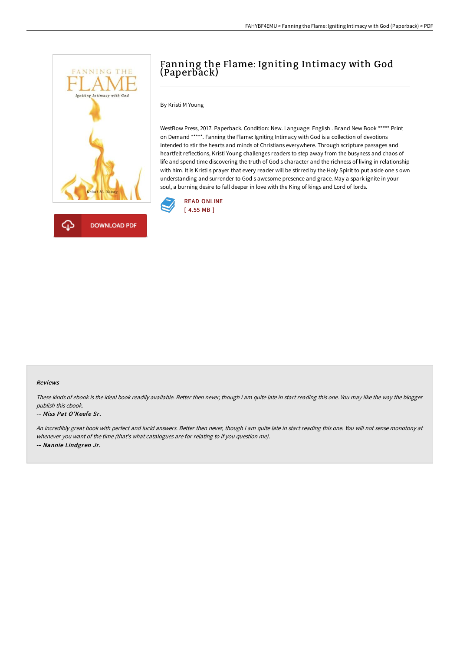

# Fanning the Flame: Igniting Intimacy with God (Paperback)

### By Kristi M Young

WestBow Press, 2017. Paperback. Condition: New. Language: English . Brand New Book \*\*\*\*\* Print on Demand \*\*\*\*\*. Fanning the Flame: Igniting Intimacy with God is a collection of devotions intended to stir the hearts and minds of Christians everywhere. Through scripture passages and heartfelt reflections, Kristi Young challenges readers to step away from the busyness and chaos of life and spend time discovering the truth of God s character and the richness of living in relationship with him. It is Kristi s prayer that every reader will be stirred by the Holy Spirit to put aside one s own understanding and surrender to God s awesome presence and grace. May a spark ignite in your soul, a burning desire to fall deeper in love with the King of kings and Lord of lords.



### Reviews

These kinds of ebook is the ideal book readily available. Better then never, though i am quite late in start reading this one. You may like the way the blogger publish this ebook.

### -- Miss Pat O'Keefe Sr.

An incredibly great book with perfect and lucid answers. Better then never, though i am quite late in start reading this one. You will not sense monotony at whenever you want of the time (that's what catalogues are for relating to if you question me). -- Nannie Lindgren Jr.